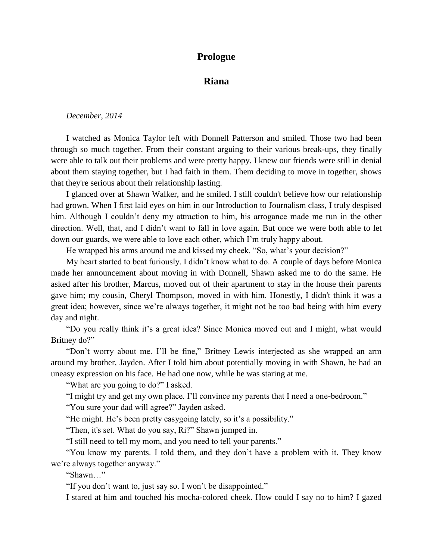## **Prologue**

## **Riana**

*December, 2014*

I watched as Monica Taylor left with Donnell Patterson and smiled. Those two had been through so much together. From their constant arguing to their various break-ups, they finally were able to talk out their problems and were pretty happy. I knew our friends were still in denial about them staying together, but I had faith in them. Them deciding to move in together, shows that they're serious about their relationship lasting.

I glanced over at Shawn Walker, and he smiled. I still couldn't believe how our relationship had grown. When I first laid eyes on him in our Introduction to Journalism class, I truly despised him. Although I couldn't deny my attraction to him, his arrogance made me run in the other direction. Well, that, and I didn't want to fall in love again. But once we were both able to let down our guards, we were able to love each other, which I'm truly happy about.

He wrapped his arms around me and kissed my cheek. "So, what's your decision?"

My heart started to beat furiously. I didn't know what to do. A couple of days before Monica made her announcement about moving in with Donnell, Shawn asked me to do the same. He asked after his brother, Marcus, moved out of their apartment to stay in the house their parents gave him; my cousin, Cheryl Thompson, moved in with him. Honestly, I didn't think it was a great idea; however, since we're always together, it might not be too bad being with him every day and night.

"Do you really think it's a great idea? Since Monica moved out and I might, what would Britney do?"

"Don't worry about me. I'll be fine," Britney Lewis interjected as she wrapped an arm around my brother, Jayden. After I told him about potentially moving in with Shawn, he had an uneasy expression on his face. He had one now, while he was staring at me.

"What are you going to do?" I asked.

"I might try and get my own place. I'll convince my parents that I need a one-bedroom."

"You sure your dad will agree?" Jayden asked.

"He might. He's been pretty easygoing lately, so it's a possibility."

"Then, it's set. What do you say, Ri?" Shawn jumped in.

"I still need to tell my mom, and you need to tell your parents."

"You know my parents. I told them, and they don't have a problem with it. They know we're always together anyway."

"Shawn…"

"If you don't want to, just say so. I won't be disappointed."

I stared at him and touched his mocha-colored cheek. How could I say no to him? I gazed